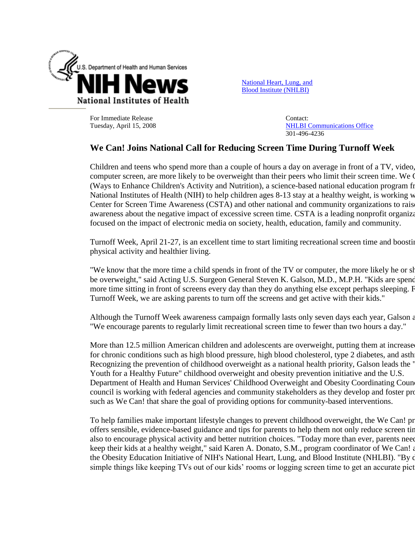

[National Heart, Lung, and](http://www.nhlbi.nih.gov/)  [Blood Institute \(NHLBI\)](http://www.nhlbi.nih.gov/) 

For Immediate Release Tuesday, April 15, 2008 Contact: [NHLBI Communications Office](mailto:NHLBI_news@nhlbi.nih.gov) 301-496-4236

## **We Can! Joins National Call for Reducing Screen Time During Turnoff Week**

Children and teens who spend more than a couple of hours a day on average in front of a TV, video, computer screen, are more likely to be overweight than their peers who limit their screen time. We O (Ways to Enhance Children's Activity and Nutrition), a science-based national education program from National Institutes of Health (NIH) to help children ages 8-13 stay at a healthy weight, is working w Center for Screen Time Awareness (CSTA) and other national and community organizations to rais awareness about the negative impact of excessive screen time. CSTA is a leading nonprofit organization focused on the impact of electronic media on society, health, education, family and community.

Turnoff Week, April 21-27, is an excellent time to start limiting recreational screen time and boosting physical activity and healthier living.

"We know that the more time a child spends in front of the TV or computer, the more likely he or she be overweight," said Acting U.S. Surgeon General Steven K. Galson, M.D., M.P.H. "Kids are spending more time sitting in front of screens every day than they do anything else except perhaps sleeping. For Turnoff Week, we are asking parents to turn off the screens and get active with their kids."

Although the Turnoff Week awareness campaign formally lasts only seven days each year, Galson a "We encourage parents to regularly limit recreational screen time to fewer than two hours a day."

More than 12.5 million American children and adolescents are overweight, putting them at increase for chronic conditions such as high blood pressure, high blood cholesterol, type 2 diabetes, and asth Recognizing the prevention of childhood overweight as a national health priority, Galson leads the " Youth for a Healthy Future" childhood overweight and obesity prevention initiative and the U.S. Department of Health and Human Services' Childhood Overweight and Obesity Coordinating Coun council is working with federal agencies and community stakeholders as they develop and foster programs. such as We Can! that share the goal of providing options for community-based interventions.

To help families make important lifestyle changes to prevent childhood overweight, the We Can! programoffers sensible, evidence-based guidance and tips for parents to help them not only reduce screen tir also to encourage physical activity and better nutrition choices. "Today more than ever, parents need keep their kids at a healthy weight," said Karen A. Donato, S.M., program coordinator of We Can! and the Obesity Education Initiative of NIH's National Heart, Lung, and Blood Institute (NHLBI). "By d simple things like keeping TVs out of our kids' rooms or logging screen time to get an accurate pict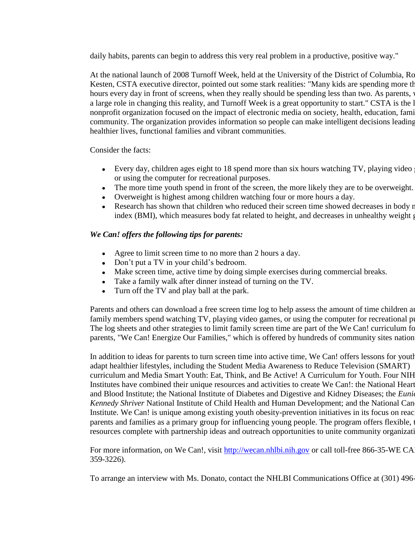daily habits, parents can begin to address this very real problem in a productive, positive way."

At the national launch of 2008 Turnoff Week, held at the University of the District of Columbia, Ro Kesten, CSTA executive director, pointed out some stark realities: "Many kids are spending more th hours every day in front of screens, when they really should be spending less than two. As parents, a large role in changing this reality, and Turnoff Week is a great opportunity to start." CSTA is the l nonprofit organization focused on the impact of electronic media on society, health, education, fami community. The organization provides information so people can make intelligent decisions leading healthier lives, functional families and vibrant communities.

Consider the facts:

- Every day, children ages eight to 18 spend more than six hours watching TV, playing video or using the computer for recreational purposes.
- The more time youth spend in front of the screen, the more likely they are to be overweight.
- Overweight is highest among children watching four or more hours a day.
- Research has shown that children who reduced their screen time showed decreases in body r index (BMI), which measures body fat related to height, and decreases in unhealthy weight gain.

## *We Can! offers the following tips for parents:*

- Agree to limit screen time to no more than 2 hours a day.
- Don't put a TV in your child's bedroom.
- Make screen time, active time by doing simple exercises during commercial breaks.
- Take a family walk after dinner instead of turning on the TV.
- Turn off the TV and play ball at the park.  $\bullet$

Parents and others can download a free screen time log to help assess the amount of time children and family members spend watching TV, playing video games, or using the computer for recreational purposes. The log sheets and other strategies to limit family screen time are part of the We Can! curriculum for parents, "We Can! Energize Our Families," which is offered by hundreds of community sites nation

In addition to ideas for parents to turn screen time into active time, We Can! offers lessons for youth adapt healthier lifestyles, including the Student Media Awareness to Reduce Television (SMART) curriculum and Media Smart Youth: Eat, Think, and Be Active! A Curriculum for Youth. Four NIH Institutes have combined their unique resources and activities to create We Can!: the National Heart and Blood Institute; the National Institute of Diabetes and Digestive and Kidney Diseases; the *Eunical Kennedy Shriver* National Institute of Child Health and Human Development; and the National Can Institute. We Can! is unique among existing youth obesity-prevention initiatives in its focus on reac parents and families as a primary group for influencing young people. The program offers flexible, t resources complete with partnership ideas and outreach opportunities to unite community organizations.

For more information, on We Can!, visit [http://wecan.nhlbi.nih.gov](http://wecan.nhlbi.nih.gov/) or call toll-free 866-35-WE CA 359-3226).

To arrange an interview with Ms. Donato, contact the NHLBI Communications Office at (301) 496-